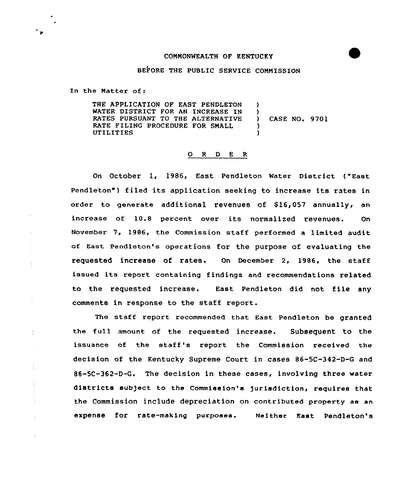#### COMMONWEALTH OF KENTUCKY

### BEFORE THE PUBLIC SERVICE COMMISSION

In the Matter of:

÷,

 $\frac{1}{4}$ 

THE APPLICATION OF EAST PENDLETON WATER DISTRICT FOR AN INCREASE IN RATES PURSUANT TO THE ALTERNATIVE RATE FILING PROCEDURE FOR SMALL UTILITIES )  $)$ ) CASE NO. 9701 ) )

# 0 R <sup>D</sup> E R

On October 1, 1986, East Pendleton Water District ("East Pendleton") filed its application seeking to increase its rates in order to generate additional revenues of \$16,057 annually, an increase of 10.8 percent over its normalized revenues. On November 7, 1986, the Commission staff performed a limited audit of East Pendleton's operations for the purpose of evaluating the requested increase of rates. On December 2, 1986, the staff issued its report containing findings and recommendations related to the requested increase. East Pendleton did not file any comments in response to the staff report.

The staff report recommended that East Pendleton be granted the full amount of the requested increase. Subsequent to the issuance of the staff's report the Commission received the decision of the Kentucky Supreme Court in cases 86-5C-342-D-6 and 86-5C-362-D-G. The decision in these cases, involving three water districts sub)ect to the Commission's )urisdiction, requires that the Commission include depreciation on contributed property as an expense for rate-making purposes. Neither East Pendleton's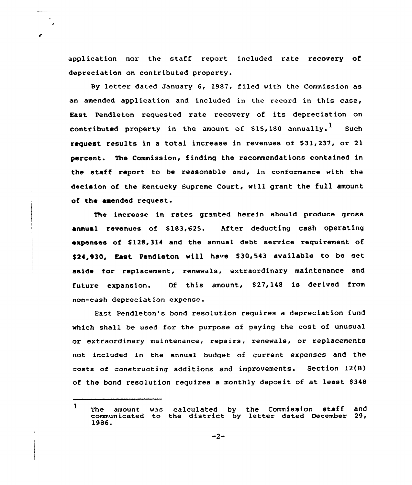application nor the staff report included rate recovery of depreciation on contributed property.

By letter dated January 6, 1987, filed with the Commission as an amended application and included in the record in this case, East Pendleton requested rate recovery of its depreciation on contributed property in the amount of \$15,180 annually.<sup>1</sup> Such request results in a total increase in revenues of \$31,237, or 21 percent. The Commission, finding the recommendations contained in the staff report to be reasonable and, in conformance with the decision of the Kentucky Supreme Court, will grant the full amount of the amended request.

The increase in rates granted herein should produce gross annual revenues of \$183,625. After deducting cash operating expenses of \$128,314 and the annual debt service requirement of \$24,930, East Pendleton will have \$30,543 available to be set aside for replacement, renewals, extraordinary maintenance and future expansion. Of this amount, \$27,148 is derived from non-cash depreciation expense.

East Pendleton's bond resolution requires a depreciation fund which shall be used for the purpose of paying the cost of unusual or extraordinary maintenance, repairs, renewals, or replacements not included in the annual budget of current expenses and the costs of constructing additions and improvements. Section  $12(B)$ of the bond resolution requires a monthly deposit of at least \$348

<sup>1</sup> The amount was calculated by the Commission staff and communicated to the district by letter dated December 29, 1986.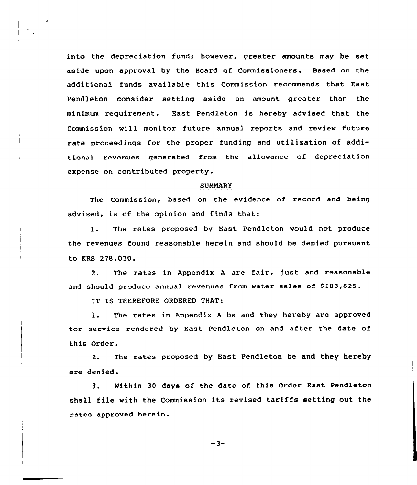into the depreciation fund; however, greater amounts may be set aside upon approval by the Board of Commissioners. Based on the additional funds available this Commission recommends that East Pendleton consider setting aside an amount greater than the minimum requirement. East Pendleton is hereby advised that the Commission will monitor future annual reports and review future rate proceedings for the proper funding and utilization of additional revenues generated from the allowance of depreciation expense on contributed property.

#### SUMNARY

The Commission, based on the evidence of record and being advised, is of the opinion and finds that:

l. The rates proposed by East Pendleton would not produce the revenues found reasonable herein and should be denied pursuant to RRS 27B.030.

2. The rates in Appendix <sup>A</sup> are fair, just and reasonable and should produce annual revenues from water sales of \$183,625.

IT IS THEREFORE ORDERED THAT:

1. The rates in Appendix <sup>A</sup> be and they hereby are approved for service rendered by East Pendleton on and after the date of th's Order.

2. The rates proposed by East Pendleton be and they hereby are denied.

3. Within 30 days of the date of this Order East pendleton shall file with the Commission its revised tariffs setting out the rates approved herein.

 $-3-$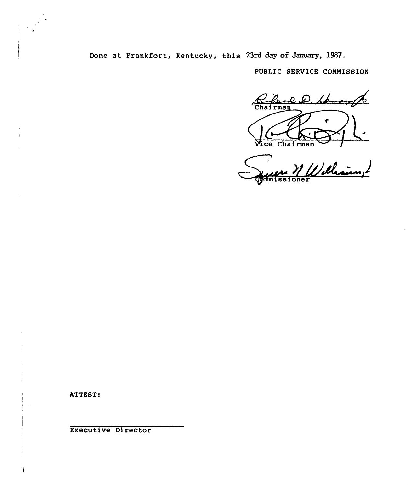Done at Frankfort, Kentucky, this 23rd day of January, 1987.

PUBLIC SERVICE COMMISSION

Charles  $\mathcal{L}$ Lk £  $\bigotimes$ Vice Chairman /

men M Welliam,

ATTEST:

Executive Director